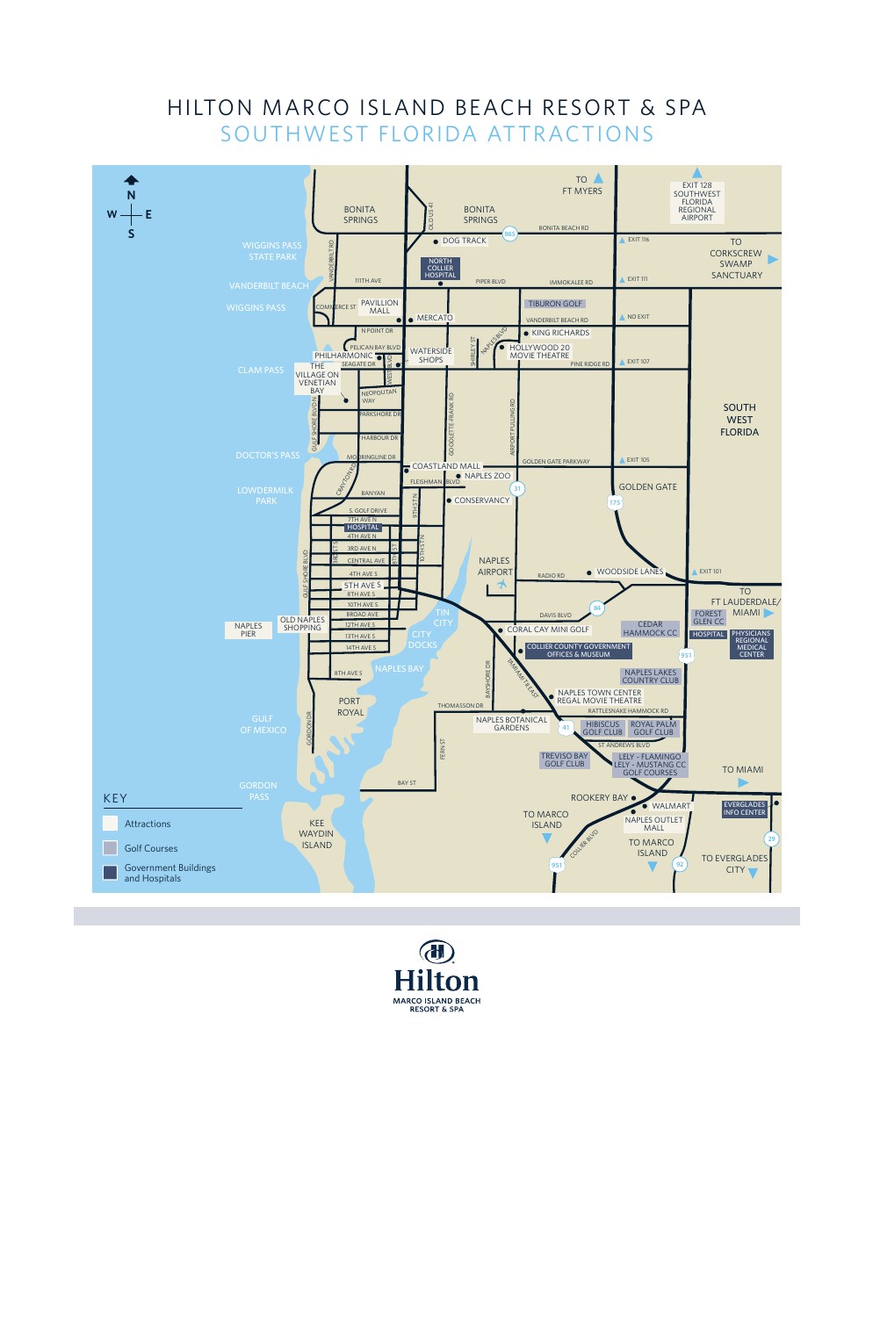## SOUTHWEST FLORIDA ATTRACTIONS HILTON MARCO ISLAND BEACH RESORT & SPA